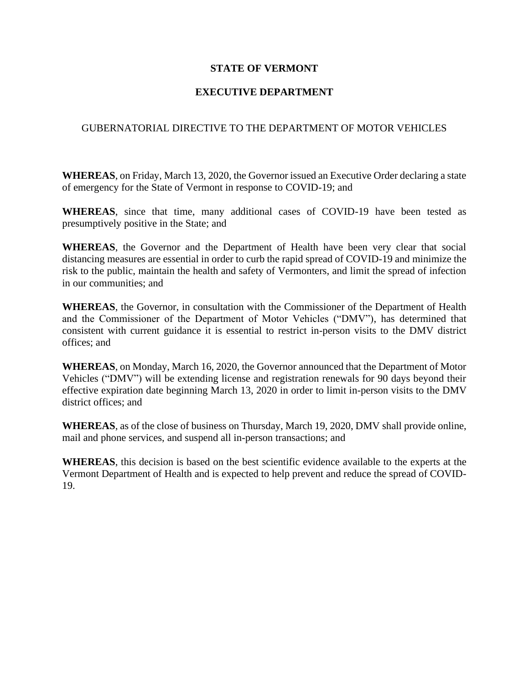## **STATE OF VERMONT**

## **EXECUTIVE DEPARTMENT**

## GUBERNATORIAL DIRECTIVE TO THE DEPARTMENT OF MOTOR VEHICLES

**WHEREAS**, on Friday, March 13, 2020, the Governor issued an Executive Order declaring a state of emergency for the State of Vermont in response to COVID-19; and

**WHEREAS**, since that time, many additional cases of COVID-19 have been tested as presumptively positive in the State; and

**WHEREAS**, the Governor and the Department of Health have been very clear that social distancing measures are essential in order to curb the rapid spread of COVID-19 and minimize the risk to the public, maintain the health and safety of Vermonters, and limit the spread of infection in our communities; and

**WHEREAS**, the Governor, in consultation with the Commissioner of the Department of Health and the Commissioner of the Department of Motor Vehicles ("DMV"), has determined that consistent with current guidance it is essential to restrict in-person visits to the DMV district offices; and

**WHEREAS**, on Monday, March 16, 2020, the Governor announced that the Department of Motor Vehicles ("DMV") will be extending license and registration renewals for 90 days beyond their effective expiration date beginning March 13, 2020 in order to limit in-person visits to the DMV district offices; and

**WHEREAS**, as of the close of business on Thursday, March 19, 2020, DMV shall provide online, mail and phone services, and suspend all in-person transactions; and

**WHEREAS**, this decision is based on the best scientific evidence available to the experts at the Vermont Department of Health and is expected to help prevent and reduce the spread of COVID-19.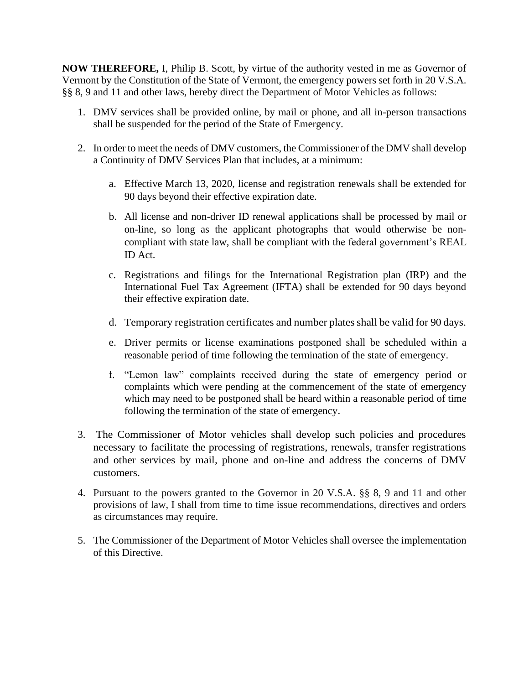**NOW THEREFORE,** I, Philip B. Scott, by virtue of the authority vested in me as Governor of Vermont by the Constitution of the State of Vermont, the emergency powers set forth in 20 V.S.A. §§ 8, 9 and 11 and other laws, hereby direct the Department of Motor Vehicles as follows:

- 1. DMV services shall be provided online, by mail or phone, and all in-person transactions shall be suspended for the period of the State of Emergency.
- 2. In order to meet the needs of DMV customers, the Commissioner of the DMV shall develop a Continuity of DMV Services Plan that includes, at a minimum:
	- a. Effective March 13, 2020, license and registration renewals shall be extended for 90 days beyond their effective expiration date.
	- b. All license and non-driver ID renewal applications shall be processed by mail or on-line, so long as the applicant photographs that would otherwise be noncompliant with state law, shall be compliant with the federal government's REAL ID Act.
	- c. Registrations and filings for the International Registration plan (IRP) and the International Fuel Tax Agreement (IFTA) shall be extended for 90 days beyond their effective expiration date.
	- d. Temporary registration certificates and number plates shall be valid for 90 days.
	- e. Driver permits or license examinations postponed shall be scheduled within a reasonable period of time following the termination of the state of emergency.
	- f. "Lemon law" complaints received during the state of emergency period or complaints which were pending at the commencement of the state of emergency which may need to be postponed shall be heard within a reasonable period of time following the termination of the state of emergency.
- 3. The Commissioner of Motor vehicles shall develop such policies and procedures necessary to facilitate the processing of registrations, renewals, transfer registrations and other services by mail, phone and on-line and address the concerns of DMV customers.
- 4. Pursuant to the powers granted to the Governor in 20 V.S.A. §§ 8, 9 and 11 and other provisions of law, I shall from time to time issue recommendations, directives and orders as circumstances may require.
- 5. The Commissioner of the Department of Motor Vehicles shall oversee the implementation of this Directive.